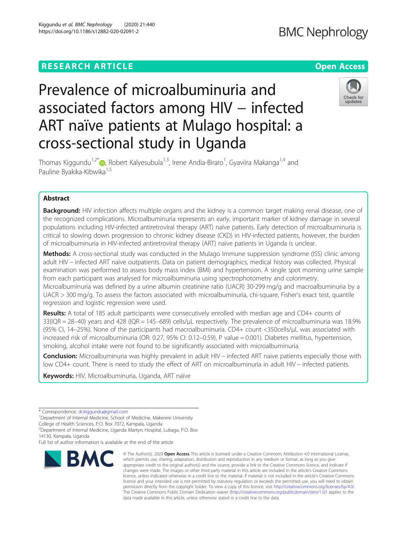## **RESEARCH ARTICLE Example 2014 12:30 The Contract of Contract ACCESS**

# Prevalence of microalbuminuria and associated factors among HIV – infected ART naïve patients at Mulago hospital: a cross-sectional study in Uganda



Thomas Kiggundu<sup>1,2[\\*](http://orcid.org/0000-0001-9020-256X)</sup>®, Robert Kalyesubula<sup>1,3</sup>, Irene Andia-Biraro<sup>1</sup>, Gyaviira Makanga<sup>1,4</sup> and Pauline Byakika-Kibwika<sup>1,5</sup>

### Abstract

Background: HIV infection affects multiple organs and the kidney is a common target making renal disease, one of the recognized complications. Microalbuminuria represents an early, important marker of kidney damage in several populations including HIV-infected antiretroviral therapy (ART) naïve patients. Early detection of microalbuminuria is critical to slowing down progression to chronic kidney disease (CKD) in HIV-infected patients, however, the burden of microalbuminuria in HIV-infected antiretroviral therapy (ART) naïve patients in Uganda is unclear.

Methods: A cross-sectional study was conducted in the Mulago Immune suppression syndrome (ISS) clinic among adult HIV − infected ART naïve outpatients. Data on patient demographics, medical history was collected. Physical examination was performed to assess body mass index (BMI) and hypertension. A single spot morning urine sample from each participant was analysed for microalbuminuria using spectrophotometry and colorimetry. Microalbuminuria was defined by a urine albumin creatinine ratio (UACR) 30-299 mg/g and macroalbuminuria by a UACR > 300 mg/g. To assess the factors associated with microalbuminuria, chi-square, Fisher's exact test, quantile

regression and logistic regression were used.

Results: A total of 185 adult participants were consecutively enrolled with median age and CD4+ counts of 33(IQR = 28–40) years and 428 (IQR = 145–689) cells/μL respectively. The prevalence of microalbuminuria was 18.9% (95% CI, 14–25%). None of the participants had macroalbuminuria. CD4+ count <350cells/μL was associated with increased risk of microalbuminuria (OR: 0.27, 95% CI: 0.12–0.59), P value = 0.001). Diabetes mellitus, hypertension, smoking, alcohol intake were not found to be significantly associated with microalbuminuria.

Conclusion: Microalbuminuria was highly prevalent in adult HIV – infected ART naive patients especially those with low CD4+ count. There is need to study the effect of ART on microalbuminuria in adult HIV − infected patients.

Keywords: HIV, Microalbuminuria, Uganda, ART naïve

<sup>1</sup>Department of Internal Medicine, School of Medicine, Makerere University

2 Department of Internal Medicine, Uganda Martyrs Hospital, Lubaga, P.O. Box 14130, Kampala, Uganda

Full list of author information is available at the end of the article



<sup>©</sup> The Author(s), 2020 **Open Access** This article is licensed under a Creative Commons Attribution 4.0 International License, which permits use, sharing, adaptation, distribution and reproduction in any medium or format, as long as you give appropriate credit to the original author(s) and the source, provide a link to the Creative Commons licence, and indicate if changes were made. The images or other third party material in this article are included in the article's Creative Commons licence, unless indicated otherwise in a credit line to the material. If material is not included in the article's Creative Commons licence and your intended use is not permitted by statutory regulation or exceeds the permitted use, you will need to obtain permission directly from the copyright holder. To view a copy of this licence, visit [http://creativecommons.org/licenses/by/4.0/.](http://creativecommons.org/licenses/by/4.0/) The Creative Commons Public Domain Dedication waiver [\(http://creativecommons.org/publicdomain/zero/1.0/](http://creativecommons.org/publicdomain/zero/1.0/)) applies to the data made available in this article, unless otherwise stated in a credit line to the data.

<sup>\*</sup> Correspondence: [dr.kiggundu@gmail.com](mailto:dr.kiggundu@gmail.com) <sup>1</sup>

College of Health Sciences, P.O. Box 7072, Kampala, Uganda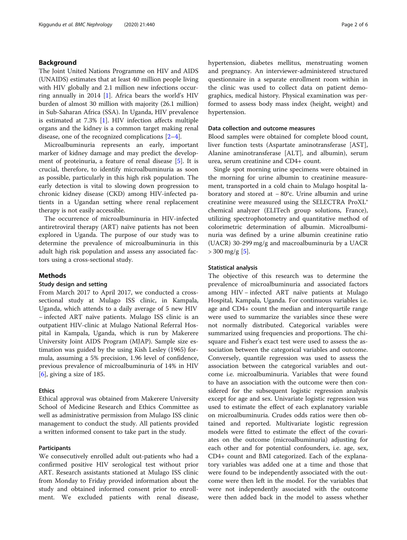#### Background

The Joint United Nations Programme on HIV and AIDS (UNAIDS) estimates that at least 40 million people living with HIV globally and 2.1 million new infections occurring annually in 2014 [\[1](#page-5-0)]. Africa bears the world's HIV burden of almost 30 million with majority (26.1 million) in Sub-Saharan Africa (SSA). In Uganda, HIV prevalence is estimated at 7.3% [\[1](#page-5-0)]. HIV infection affects multiple organs and the kidney is a common target making renal disease, one of the recognized complications [\[2](#page-5-0)–[4\]](#page-5-0).

Microalbuminuria represents an early, important marker of kidney damage and may predict the development of proteinuria, a feature of renal disease [\[5](#page-5-0)]. It is crucial, therefore, to identify microalbuminuria as soon as possible, particularly in this high risk population. The early detection is vital to slowing down progression to chronic kidney disease (CKD) among HIV-infected patients in a Ugandan setting where renal replacement therapy is not easily accessible.

The occurrence of microalbuminuria in HIV-infected antiretroviral therapy (ART) naïve patients has not been explored in Uganda. The purpose of our study was to determine the prevalence of microalbuminuria in this adult high risk population and assess any associated factors using a cross-sectional study.

#### Methods

#### Study design and setting

From March 2017 to April 2017, we conducted a crosssectional study at Mulago ISS clinic, in Kampala, Uganda, which attends to a daily average of 5 new HIV − infected ART naïve patients. Mulago ISS clinic is an outpatient HIV-clinic at Mulago National Referral Hospital in Kampala, Uganda, which is run by Makerere University Joint AIDS Program (MJAP). Sample size estimation was guided by the using Kish Lesley (1965) formula, assuming a 5% precision, 1.96 level of confidence, previous prevalence of microalbuminuria of 14% in HIV  $[6]$  $[6]$ , giving a size of 185.

#### Ethics

Ethical approval was obtained from Makerere University School of Medicine Research and Ethics Committee as well as administrative permission from Mulago ISS clinic management to conduct the study. All patients provided a written informed consent to take part in the study.

#### Participants

We consecutively enrolled adult out-patients who had a confirmed positive HIV serological test without prior ART. Research assistants stationed at Mulago ISS clinic from Monday to Friday provided information about the study and obtained informed consent prior to enrollment. We excluded patients with renal disease, hypertension, diabetes mellitus, menstruating women and pregnancy. An interviewer-administered structured questionnaire in a separate enrollment room within in the clinic was used to collect data on patient demographics, medical history. Physical examination was performed to assess body mass index (height, weight) and hypertension.

#### Data collection and outcome measures

Blood samples were obtained for complete blood count, liver function tests (Aspartate aminotransferase [AST], Alanine aminotransferase [ALT], and albumin), serum urea, serum creatinine and CD4+ count.

Single spot morning urine specimens were obtained in the morning for urine albumin to creatinine measurement, transported in a cold chain to Mulago hospital laboratory and stored at − 80°c. Urine albumin and urine creatinine were measured using the SELECTRA ProXL® chemical analyzer (ELITech group solutions, France), utilizing spectrophotometry and quantitative method of colorimetric determination of albumin. Microalbuminuria was defined by a urine albumin creatinine ratio (UACR) 30-299 mg/g and macroalbuminuria by a UACR  $> 300 \,\mathrm{mg/g}$  [[5\]](#page-5-0).

#### Statistical analysis

The objective of this research was to determine the prevalence of microalbuminuria and associated factors among HIV − infected ART naïve patients at Mulago Hospital, Kampala, Uganda. For continuous variables i.e. age and CD4+ count the median and interquartile range were used to summarize the variables since these were not normally distributed. Categorical variables were summarized using frequencies and proportions. The chisquare and Fisher's exact test were used to assess the association between the categorical variables and outcome. Conversely, quantile regression was used to assess the association between the categorical variables and outcome i.e. microalbuminuria. Variables that were found to have an association with the outcome were then considered for the subsequent logistic regression analysis except for age and sex. Univariate logistic regression was used to estimate the effect of each explanatory variable on microalbuminuria. Crudes odds ratios were then obtained and reported. Multivariate logistic regression models were fitted to estimate the effect of the covariates on the outcome (microalbuminuria) adjusting for each other and for potential confounders, i.e. age, sex, CD4+ count and BMI categorized. Each of the explanatory variables was added one at a time and those that were found to be independently associated with the outcome were then left in the model. For the variables that were not independently associated with the outcome were then added back in the model to assess whether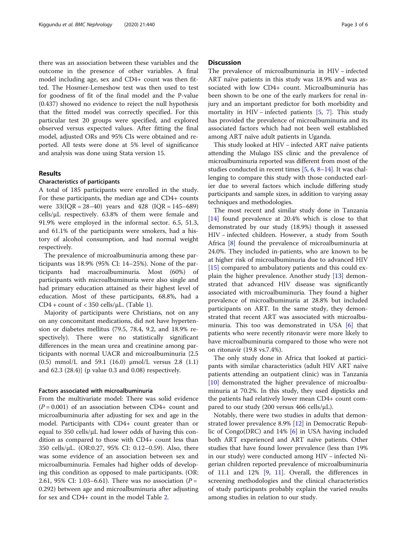there was an association between these variables and the outcome in the presence of other variables. A final model including age, sex and CD4+ count was then fitted. The Hosmer-Lemeshow test was then used to test for goodness of fit of the final model and the P-value (0.437) showed no evidence to reject the null hypothesis that the fitted model was correctly specified. For this particular test 20 groups were specified, and explored observed versus expected values. After fitting the final model, adjusted ORs and 95% CIs were obtained and reported. All tests were done at 5% level of significance and analysis was done using Stata version 15.

#### Results

#### Characteristics of participants

A total of 185 participants were enrolled in the study. For these participants, the median age and CD4+ counts were  $33(1QR = 28-40)$  years and  $428(1QR = 145-689)$ cells/μL respectively. 63.8% of them were female and 91.9% were employed in the informal sector. 6.5, 51.3, and 61.1% of the participants were smokers, had a history of alcohol consumption, and had normal weight respectively.

The prevalence of microalbuminuria among these participants was 18.9% (95% CI: 14–25%). None of the participants had macroalbuminuria. Most (60%) of participants with microalbuminuria were also single and had primary education attained as their highest level of education. Most of these participants, 68.8%, had a  $CD4 + count of < 350$  cells/ $\mu$ L. (Table [1](#page-3-0)).

Majority of participants were Christians, not on any on any concomitant medications, did not have hypertension or diabetes mellitus (79.5, 78.4, 9.2, and 18.9% respectively). There were no statistically significant differences in the mean urea and creatinine among participants with normal UACR and microalbuminuria {2.5 (0.5) mmol/L and 59.1 (16.0) μmol/L versus 2.8 (1.1) and 62.3 (28.4)} (p value 0.3 and 0.08) respectively.

#### Factors associated with microalbuminuria

From the multivariate model: There was solid evidence  $(P = 0.001)$  of an association between CD4+ count and microalbuminuria after adjusting for sex and age in the model. Participants with CD4+ count greater than or equal to 350 cells/μL had lower odds of having this condition as compared to those with CD4+ count less than 350 cells/μL. (OR:0.27, 95% CI: 0.12–0.59). Also, there was some evidence of an association between sex and microalbuminuria. Females had higher odds of developing this condition as opposed to male participants. (OR: 2.61, 95% CI: 1.03–6.61). There was no association ( $P =$ 0.292) between age and microalbuminuria after adjusting for sex and CD4+ count in the model Table [2.](#page-4-0)

#### **Discussion**

The prevalence of microalbuminuria in HIV − infected ART naïve patients in this study was 18.9% and was associated with low CD4+ count. Microalbuminuria has been shown to be one of the early markers for renal injury and an important predictor for both morbidity and mortality in HIV – infected patients [[5](#page-5-0), [7\]](#page-5-0). This study has provided the prevalence of microalbuminuria and its associated factors which had not been well established among ART naïve adult patients in Uganda.

This study looked at HIV − infected ART naïve patients attending the Mulago ISS clinic and the prevalence of microalbuminuria reported was different from most of the studies conducted in recent times [\[5,](#page-5-0) [6](#page-5-0), [8](#page-5-0)–[14](#page-5-0)]. It was challenging to compare this study with those conducted earlier due to several factors which include differing study participants and sample sizes, in addition to varying assay techniques and methodologies.

The most recent and similar study done in Tanzania [[14\]](#page-5-0) found prevalence at 20.4% which is close to that demonstrated by our study (18.9%) though it assessed HIV – infected children. However, a study from South Africa [[8\]](#page-5-0) found the prevalence of microalbuminuria at 24.0%. They included in-patients, who are known to be at higher risk of microalbuminuria due to advanced HIV [[15\]](#page-5-0) compared to ambulatory patients and this could explain the higher prevalence. Another study [\[13\]](#page-5-0) demonstrated that advanced HIV disease was significantly associated with microalbuminuria. They found a higher prevalence of microalbuminuria at 28.8% but included participants on ART. In the same study, they demonstrated that recent ART was associated with microalbuminuria. This too was demonstrated in USA [\[6](#page-5-0)] that patients who were recently ritonavir were more likely to have microalbuminuria compared to those who were not on ritonavir (19.8 vs.7.4%).

The only study done in Africa that looked at participants with similar characteristics (adult HIV ART naïve patients attending an outpatient clinic) was in Tanzania [[10\]](#page-5-0) demonstrated the higher prevalence of microalbuminuria at 70.2%. In this study, they used dipsticks and the patients had relatively lower mean CD4+ count compared to our study (200 versus 466 cells/ $\mu$ L).

Notably, there were two studies in adults that demonstrated lower prevalence 8.9% [[12\]](#page-5-0) in Democratic Republic of Congo(DRC) and 14% [[6\]](#page-5-0) in USA having included both ART experienced and ART naïve patients. Other studies that have found lower prevalence (less than 19% in our study) were conducted among HIV − infected Nigerian children reported prevalence of microalbuminuria of 11.1 and 12%  $[9, 11]$  $[9, 11]$  $[9, 11]$  $[9, 11]$ . Overall, the differences in screening methodologies and the clinical characteristics of study participants probably explain the varied results among studies in relation to our study.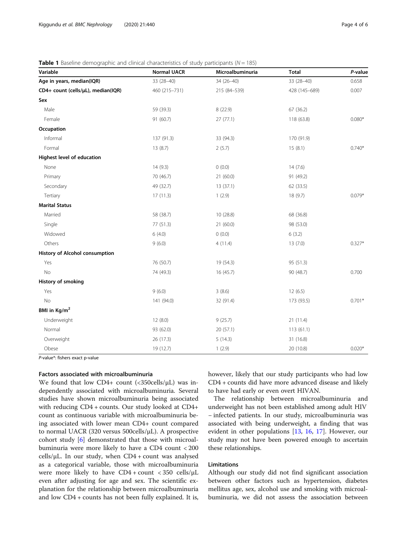#### <span id="page-3-0"></span>**Table 1** Baseline demographic and clinical characteristics of study participants ( $N = 185$ )

| Variable                           | <b>Normal UACR</b> | Microalbuminuria | <b>Total</b>  | P-value  |
|------------------------------------|--------------------|------------------|---------------|----------|
| Age in years, median(IQR)          | 33 (28-40)         | $34(26 - 40)$    | 33 (28-40)    | 0.658    |
| CD4+ count (cells/µL), median(IQR) | 460 (215-731)      | 215 (84-539)     | 428 (145-689) | 0.007    |
| Sex                                |                    |                  |               |          |
| Male                               | 59 (39.3)          | 8 (22.9)         | 67 (36.2)     |          |
| Female                             | 91 (60.7)          | 27(77.1)         | 118 (63.8)    | $0.080*$ |
| Occupation                         |                    |                  |               |          |
| Informal                           | 137 (91.3)         | 33 (94.3)        | 170 (91.9)    |          |
| Formal                             | 13 (8.7)           | 2(5.7)           | 15(8.1)       | $0.740*$ |
| Highest level of education         |                    |                  |               |          |
| None                               | 14(9.3)            | (0.0)            | 14(7.6)       |          |
| Primary                            | 70 (46.7)          | 21(60.0)         | 91 (49.2)     |          |
| Secondary                          | 49 (32.7)          | 13 (37.1)        | 62 (33.5)     |          |
| Tertiary                           | 17(11.3)           | 1(2.9)           | 18(9.7)       | $0.079*$ |
| <b>Marital Status</b>              |                    |                  |               |          |
| Married                            | 58 (38.7)          | 10 (28.8)        | 68 (36.8)     |          |
| Single                             | 77 (51.3)          | 21 (60.0)        | 98 (53.0)     |          |
| Widowed                            | 6(4.0)             | (0.0)            | 6(3.2)        |          |
| Others                             | 9(6.0)             | 4(11.4)          | 13(7.0)       | $0.327*$ |
| History of Alcohol consumption     |                    |                  |               |          |
| Yes                                | 76 (50.7)          | 19 (54.3)        | 95 (51.3)     |          |
| <b>No</b>                          | 74 (49.3)          | 16 (45.7)        | 90 (48.7)     | 0.700    |
| History of smoking                 |                    |                  |               |          |
| Yes                                | 9(6.0)             | 3(8.6)           | 12(6.5)       |          |
| No                                 | 141 (94.0)         | 32 (91.4)        | 173 (93.5)    | $0.701*$ |
| BMI in Kg/m <sup>2</sup>           |                    |                  |               |          |
| Underweight                        | 12(8.0)            | 9(25.7)          | 21 (11.4)     |          |
| Normal                             | 93 (62.0)          | 20 (57.1)        | 113(61.1)     |          |
| Overweight                         | 26 (17.3)          | 5(14.3)          | 31 (16.8)     |          |
| Obese                              | 19 (12.7)          | 1(2.9)           | 20 (10.8)     | $0.020*$ |

P-value\*: fishers exact p-value

#### Factors associated with microalbuminuria

We found that low CD4+ count  $(\langle 350 \text{cells/}\mu L \rangle)$  was independently associated with microalbuminuria. Several studies have shown microalbuminuria being associated with reducing CD4 + counts. Our study looked at CD4+ count as continuous variable with microalbuminuria being associated with lower mean CD4+ count compared to normal UACR (320 versus 500cells/μL). A prospective cohort study [\[6](#page-5-0)] demonstrated that those with microalbuminuria were more likely to have a CD4 count < 200 cells/μL. In our study, when CD4 + count was analysed as a categorical variable, those with microalbuminuria were more likely to have  $CD4 + count < 350$  cells/ $\mu$ L even after adjusting for age and sex. The scientific explanation for the relationship between microalbuminuria and low CD4 + counts has not been fully explained. It is, however, likely that our study participants who had low CD4 + counts did have more advanced disease and likely to have had early or even overt HIVAN.

The relationship between microalbuminuria and underweight has not been established among adult HIV − infected patients. In our study, microalbuminuria was associated with being underweight, a finding that was evident in other populations [[13,](#page-5-0) [16,](#page-5-0) [17\]](#page-5-0). However, our study may not have been powered enough to ascertain these relationships.

#### Limitations

Although our study did not find significant association between other factors such as hypertension, diabetes mellitus age, sex, alcohol use and smoking with microalbuminuria, we did not assess the association between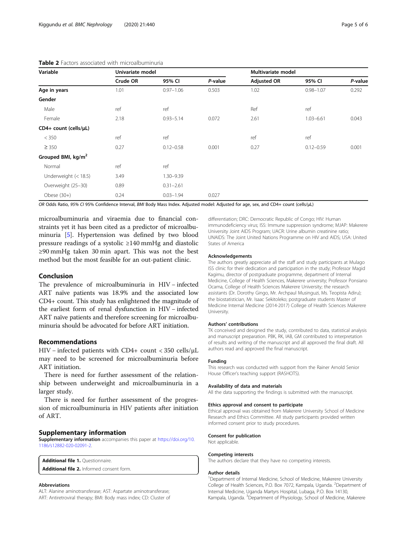| Variable                       | Univariate model |               |         | Multivariate model |               |         |
|--------------------------------|------------------|---------------|---------|--------------------|---------------|---------|
|                                | Crude OR         | 95% CI        | P-value | <b>Adjusted OR</b> | 95% CI        | P-value |
| Age in years                   | 1.01             | $0.97 - 1.06$ | 0.503   | 1.02               | $0.98 - 1.07$ | 0.292   |
| Gender                         |                  |               |         |                    |               |         |
| Male                           | ref              | ref           |         | Ref                | ref           |         |
| Female                         | 2.18             | $0.93 - 5.14$ | 0.072   | 2.61               | $1.03 - 6.61$ | 0.043   |
| CD4+ count (cells/µL)          |                  |               |         |                    |               |         |
| < 350                          | ref              | ref           |         | ref                | ref           |         |
| $\geq$ 350                     | 0.27             | $0.12 - 0.58$ | 0.001   | 0.27               | $0.12 - 0.59$ | 0.001   |
| Grouped BMI, kg/m <sup>2</sup> |                  |               |         |                    |               |         |
| Normal                         | ref              | ref           |         |                    |               |         |
| Underweight $(< 18.5)$         | 3.49             | 1.30-9.39     |         |                    |               |         |
| Overweight (25-30)             | 0.89             | $0.31 - 2.61$ |         |                    |               |         |
| Obese $(30+)$                  | 0.24             | $0.03 - 1.94$ | 0.027   |                    |               |         |

#### <span id="page-4-0"></span>Table 2 Factors associated with microalbuminuria

OR Odds Ratio, 95% CI 95% Confidence Interval, BMI Body Mass Index. Adjusted model: Adjusted for age, sex, and CD4+ count (cells/μL)

microalbuminuria and viraemia due to financial constraints yet it has been cited as a predictor of microalbuminuria [[5\]](#page-5-0). Hypertension was defined by two blood pressure readings of a systolic ≥140 mmHg and diastolic ≥90 mmHg taken 30 min apart. This was not the best method but the most feasible for an out-patient clinic.

#### Conclusion

The prevalence of microalbuminuria in HIV – infected ART naïve patients was 18.9% and the associated low CD4+ count. This study has enlightened the magnitude of the earliest form of renal dysfunction in HIV − infected ART naïve patients and therefore screening for microalbuminuria should be advocated for before ART initiation.

#### Recommendations

HIV − infected patients with CD4+ count < 350 cells/μL may need to be screened for microalbuminuria before ART initiation.

There is need for further assessment of the relationship between underweight and microalbuminuria in a larger study.

There is need for further assessment of the progression of microalbuminuria in HIV patients after initiation of ART.

#### Supplementary information

Supplementary information accompanies this paper at [https://doi.org/10.](https://doi.org/10.1186/s12882-020-02091-2) [1186/s12882-020-02091-2](https://doi.org/10.1186/s12882-020-02091-2).

Additional file 1. Questionnaire.

Additional file 2. Informed consent form.

#### Abbreviations

ALT: Alanine aminotransferase; AST: Aspartate aminotransferase; ART: Antiretroviral therapy; BMI: Body mass index; CD: Cluster of differentiation; DRC: Democratic Republic of Congo; HIV: Human immunodeficiency virus; ISS: Immune suppression syndrome; MJAP: Makerere University Joint AIDS Program; UACR: Urine albumin creatinine ratio; UNAIDS: The Joint United Nations Programme on HIV and AIDS; USA: United States of America

#### Acknowledgements

The authors greatly appreciate all the staff and study participants at Mulago ISS clinic for their dedication and participation in the study; Professor Magid Kagimu, director of postgraduate programme, department of Internal Medicine, College of Health Sciences, Makerere university; Professor Ponsiano Ocama, College of Health Sciences Makerere University; the research assistants (Dr. Dorothy Gingo, Mr. Archpaul Musinguzi, Ms. Teopista Adiru); the biostatistician, Mr. Isaac Sekitoleko; postgraduate students Master of Medicine Internal Medicine (2014-2017) College of Health Sciences Makerere University.

#### Authors' contributions

TK conceived and designed the study, contributed to data, statistical analysis and manuscript preparation. PBK, RK, IAB, GM contributed to interpretation of results and writing of the manuscript and all approved the final draft. All authors read and approved the final manuscript.

#### Funding

This research was conducted with support from the Rainer Arnold Senior House Officer's teaching support (RASHOTS).

#### Availability of data and materials

All the data supporting the findings is submitted with the manuscript.

#### Ethics approval and consent to participate

Ethical approval was obtained from Makerere University School of Medicine Research and Ethics Committee. All study participants provided written informed consent prior to study procedures.

#### Consent for publication

Not applicable.

#### Competing interests

The authors declare that they have no competing interests.

#### Author details

<sup>1</sup>Department of Internal Medicine, School of Medicine, Makerere University College of Health Sciences, P.O. Box 7072, Kampala, Uganda. <sup>2</sup>Department of Internal Medicine, Uganda Martyrs Hospital, Lubaga, P.O. Box 14130, Kampala, Uganda. <sup>3</sup>Department of Physiology, School of Medicine, Makerere